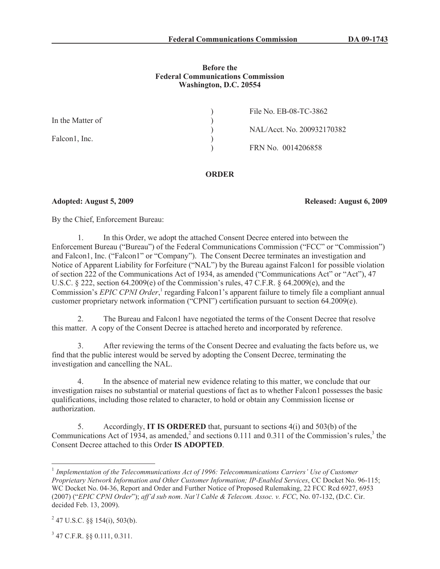## **Before the Federal Communications Commission Washington, D.C. 20554**

|                  | File No. EB-08-TC-3862     |
|------------------|----------------------------|
| In the Matter of |                            |
|                  | NAL/Acct. No. 200932170382 |
| Falcon1, Inc.    |                            |
|                  | FRN No. 0014206858         |
|                  |                            |

## **ORDER**

**Adopted: August 5, 2009 Released: August 6, 2009**

By the Chief, Enforcement Bureau:

1. In this Order, we adopt the attached Consent Decree entered into between the Enforcement Bureau ("Bureau") of the Federal Communications Commission ("FCC" or "Commission") and Falcon1, Inc. ("Falcon1" or "Company"). The Consent Decree terminates an investigation and Notice of Apparent Liability for Forfeiture ("NAL") by the Bureau against Falcon1 for possible violation of section 222 of the Communications Act of 1934, as amended ("Communications Act" or "Act"), 47 U.S.C. § 222, section 64.2009(e) of the Commission's rules, 47 C.F.R. § 64.2009(e), and the Commission's *EPIC CPNI Order*,<sup>1</sup> regarding Falcon1's apparent failure to timely file a compliant annual customer proprietary network information ("CPNI") certification pursuant to section 64.2009(e).

2. The Bureau and Falcon1 have negotiated the terms of the Consent Decree that resolve this matter. A copy of the Consent Decree is attached hereto and incorporated by reference.

3. After reviewing the terms of the Consent Decree and evaluating the facts before us, we find that the public interest would be served by adopting the Consent Decree, terminating the investigation and cancelling the NAL.

4. In the absence of material new evidence relating to this matter, we conclude that our investigation raises no substantial or material questions of fact as to whether Falcon1 possesses the basic qualifications, including those related to character, to hold or obtain any Commission license or authorization.

5. Accordingly, **IT IS ORDERED** that, pursuant to sections 4(i) and 503(b) of the Communications Act of 1934, as amended,<sup>2</sup> and sections 0.111 and 0.311 of the Commission's rules,<sup>3</sup> the Consent Decree attached to this Order **IS ADOPTED**.

3 47 C.F.R. §§ 0.111, 0.311.

<sup>&</sup>lt;sup>1</sup> Implementation of the Telecommunications Act of 1996: Telecommunications Carriers' Use of Customer *Proprietary Network Information and Other Customer Information; IP-Enabled Services*, CC Docket No. 96-115; WC Docket No. 04-36, Report and Order and Further Notice of Proposed Rulemaking, 22 FCC Rcd 6927, 6953 (2007) ("*EPIC CPNI Order*"); *aff'd sub nom*. *Nat'l Cable & Telecom. Assoc. v. FCC*, No. 07-132, (D.C. Cir. decided Feb. 13, 2009).

 $^{2}$  47 U.S.C. §§ 154(i), 503(b).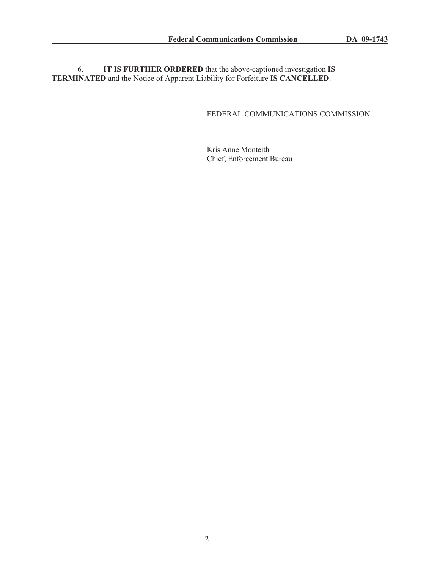6. **IT IS FURTHER ORDERED** that the above-captioned investigation **IS TERMINATED** and the Notice of Apparent Liability for Forfeiture **IS CANCELLED**.

# FEDERAL COMMUNICATIONS COMMISSION

Kris Anne Monteith Chief, Enforcement Bureau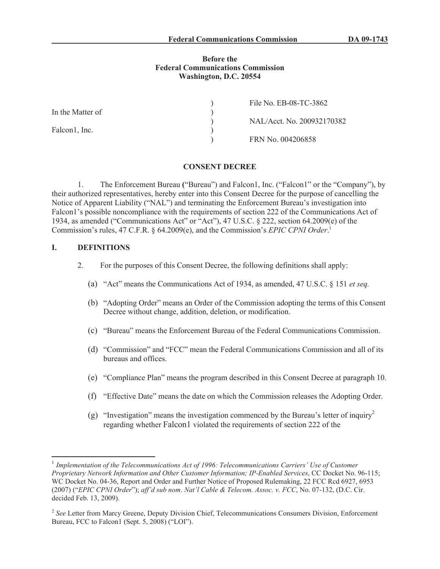### **Before the Federal Communications Commission Washington, D.C. 20554**

|                  | File No. EB-08-TC-3862     |
|------------------|----------------------------|
| In the Matter of |                            |
|                  | NAL/Acct. No. 200932170382 |
| Falcon1, Inc.    |                            |
|                  | FRN No. 004206858          |

### **CONSENT DECREE**

1. The Enforcement Bureau **(**"Bureau") and Falcon1, Inc. ("Falcon1" or the "Company"), by their authorized representatives, hereby enter into this Consent Decree for the purpose of cancelling the Notice of Apparent Liability ("NAL") and terminating the Enforcement Bureau's investigation into Falcon1's possible noncompliance with the requirements of section 222 of the Communications Act of 1934, as amended ("Communications Act" or "Act"), 47 U.S.C. § 222, section 64.2009(e) of the Commission's rules, 47 C.F.R. § 64.2009(e), and the Commission's *EPIC CPNI Order*. 1

## **I. DEFINITIONS**

- 2. For the purposes of this Consent Decree, the following definitions shall apply:
	- (a) "Act" means the Communications Act of 1934, as amended, 47 U.S.C. § 151 *et seq.*
	- (b) "Adopting Order" means an Order of the Commission adopting the terms of this Consent Decree without change, addition, deletion, or modification.
	- (c) "Bureau" means the Enforcement Bureau of the Federal Communications Commission.
	- (d) "Commission" and "FCC" mean the Federal Communications Commission and all of its bureaus and offices.
	- (e) "Compliance Plan" means the program described in this Consent Decree at paragraph 10.
	- (f) "Effective Date" means the date on which the Commission releases the Adopting Order.
	- (g) "Investigation" means the investigation commenced by the Bureau's letter of inquiry<sup>2</sup> regarding whether Falcon1 violated the requirements of section 222 of the

<sup>&</sup>lt;sup>1</sup> Implementation of the Telecommunications Act of 1996: Telecommunications Carriers' Use of Customer *Proprietary Network Information and Other Customer Information; IP-Enabled Services*, CC Docket No. 96-115; WC Docket No. 04-36, Report and Order and Further Notice of Proposed Rulemaking, 22 FCC Rcd 6927, 6953 (2007) ("*EPIC CPNI Order*"); *aff'd sub nom*. *Nat'l Cable & Telecom. Assoc. v. FCC*, No. 07-132, (D.C. Cir. decided Feb. 13, 2009).

<sup>&</sup>lt;sup>2</sup> See Letter from Marcy Greene, Deputy Division Chief, Telecommunications Consumers Division, Enforcement Bureau, FCC to Falcon1 (Sept. 5, 2008) ("LOI").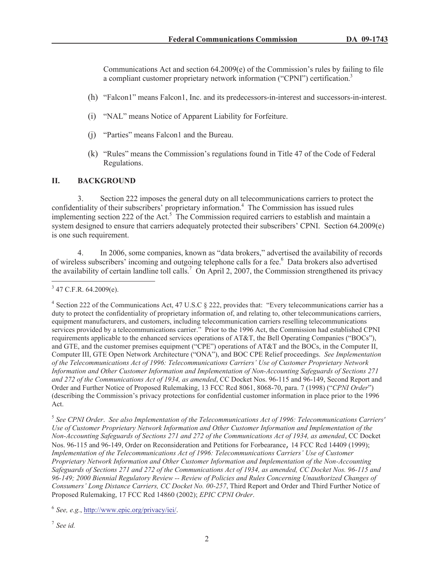Communications Act and section  $64.2009(e)$  of the Commission's rules by failing to file a compliant customer proprietary network information ("CPNI") certification.<sup>3</sup>

- (h) "Falcon1" means Falcon1, Inc. and its predecessors-in-interest and successors-in-interest.
- (i) "NAL" means Notice of Apparent Liability for Forfeiture.
- (j) "Parties" means Falcon1 and the Bureau.
- (k) "Rules" means the Commission's regulations found in Title 47 of the Code of Federal Regulations.

## **II. BACKGROUND**

3. Section 222 imposes the general duty on all telecommunications carriers to protect the confidentiality of their subscribers' proprietary information.<sup>4</sup> The Commission has issued rules implementing section 222 of the Act.<sup>5</sup> The Commission required carriers to establish and maintain a system designed to ensure that carriers adequately protected their subscribers' CPNI. Section 64.2009(e) is one such requirement.

4. In 2006, some companies, known as "data brokers," advertised the availability of records of wireless subscribers' incoming and outgoing telephone calls for a fee.<sup>6</sup> Data brokers also advertised the availability of certain landline toll calls.<sup>7</sup> On April 2, 2007, the Commission strengthened its privacy

5 *See CPNI Order*. *See also Implementation of the Telecommunications Act of 1996: Telecommunications Carriers' Use of Customer Proprietary Network Information and Other Customer Information and Implementation of the Non-Accounting Safeguards of Sections 271 and 272 of the Communications Act of 1934, as amended*, CC Docket Nos. 96-115 and 96-149, Order on Reconsideration and Petitions for Forbearance, 14 FCC Rcd 14409 (1999); *Implementation of the Telecommunications Act of 1996: Telecommunications Carriers' Use of Customer Proprietary Network Information and Other Customer Information and Implementation of the Non-Accounting Safeguards of Sections 271 and 272 of the Communications Act of 1934, as amended, CC Docket Nos. 96-115 and 96-149; 2000 Biennial Regulatory Review -- Review of Policies and Rules Concerning Unauthorized Changes of Consumers' Long Distance Carriers, CC Docket No. 00-257*, Third Report and Order and Third Further Notice of Proposed Rulemaking, 17 FCC Rcd 14860 (2002); *EPIC CPNI Order*.

6 *See, e.g.*, http://www.epic.org/privacy/iei/.

7 *See id.*

 $3$  47 C.F.R. 64.2009(e).

<sup>&</sup>lt;sup>4</sup> Section 222 of the Communications Act, 47 U.S.C § 222, provides that: "Every telecommunications carrier has a duty to protect the confidentiality of proprietary information of, and relating to, other telecommunications carriers, equipment manufacturers, and customers, including telecommunication carriers reselling telecommunications services provided by a telecommunications carrier." Prior to the 1996 Act, the Commission had established CPNI requirements applicable to the enhanced services operations of AT&T, the Bell Operating Companies ("BOCs"), and GTE, and the customer premises equipment ("CPE") operations of AT&T and the BOCs, in the Computer II, Computer III, GTE Open Network Architecture ("ONA"), and BOC CPE Relief proceedings. *See Implementation of the Telecommunications Act of 1996: Telecommunications Carriers' Use of Customer Proprietary Network Information and Other Customer Information and Implementation of Non-Accounting Safeguards of Sections 271 and 272 of the Communications Act of 1934, as amended*, CC Docket Nos. 96-115 and 96-149, Second Report and Order and Further Notice of Proposed Rulemaking, 13 FCC Rcd 8061, 8068-70, para. 7 (1998) ("*CPNI Order*") (describing the Commission's privacy protections for confidential customer information in place prior to the 1996 Act.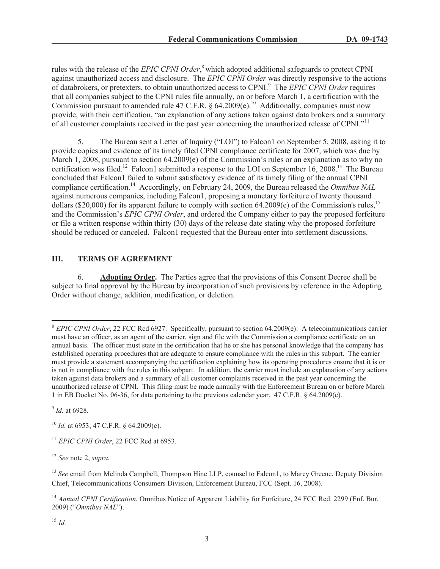rules with the release of the *EPIC CPNI Order*, <sup>8</sup> which adopted additional safeguards to protect CPNI against unauthorized access and disclosure. The *EPIC CPNI Order* was directly responsive to the actions of databrokers, or pretexters, to obtain unauthorized access to CPNI.<sup>9</sup> The *EPIC CPNI Order* requires that all companies subject to the CPNI rules file annually, on or before March 1, a certification with the Commission pursuant to amended rule 47 C.F.R. §  $64.2009(e)$ .<sup>10</sup> Additionally, companies must now provide, with their certification, "an explanation of any actions taken against data brokers and a summary of all customer complaints received in the past year concerning the unauthorized release of CPNI."<sup>11</sup>

5. The Bureau sent a Letter of Inquiry ("LOI") to Falcon1 on September 5, 2008, asking it to provide copies and evidence of its timely filed CPNI compliance certificate for 2007, which was due by March 1, 2008, pursuant to section 64.2009(e) of the Commission's rules or an explanation as to why no certification was filed.<sup>12</sup> Falcon1 submitted a response to the LOI on September  $16, 2008$ .<sup>13</sup> The Bureau concluded that Falcon1 failed to submit satisfactory evidence of its timely filing of the annual CPNI compliance certification.<sup>14</sup> Accordingly, on February 24, 2009, the Bureau released the *Omnibus NAL* against numerous companies, including Falcon1, proposing a monetary forfeiture of twenty thousand dollars (\$20,000) for its apparent failure to comply with section 64.2009(e) of the Commission's rules,<sup>15</sup> and the Commission's *EPIC CPNI Order*, and ordered the Company either to pay the proposed forfeiture or file a written response within thirty (30) days of the release date stating why the proposed forfeiture should be reduced or canceled. Falcon1 requested that the Bureau enter into settlement discussions.

## **III. TERMS OF AGREEMENT**

6. **Adopting Order.** The Parties agree that the provisions of this Consent Decree shall be subject to final approval by the Bureau by incorporation of such provisions by reference in the Adopting Order without change, addition, modification, or deletion.

9 *Id.* at 6928.

<sup>10</sup> *Id.* at 6953; 47 C.F.R. § 64.2009(e).

<sup>12</sup> *See* note 2, *supra.*

<sup>&</sup>lt;sup>8</sup> *EPIC CPNI Order*, 22 FCC Rcd 6927. Specifically, pursuant to section 64.2009(e): A telecommunications carrier must have an officer, as an agent of the carrier, sign and file with the Commission a compliance certificate on an annual basis. The officer must state in the certification that he or she has personal knowledge that the company has established operating procedures that are adequate to ensure compliance with the rules in this subpart. The carrier must provide a statement accompanying the certification explaining how its operating procedures ensure that it is or is not in compliance with the rules in this subpart. In addition, the carrier must include an explanation of any actions taken against data brokers and a summary of all customer complaints received in the past year concerning the unauthorized release of CPNI. This filing must be made annually with the Enforcement Bureau on or before March 1 in EB Docket No. 06-36, for data pertaining to the previous calendar year. 47 C.F.R. § 64.2009(e).

<sup>&</sup>lt;sup>11</sup> *EPIC CPNI Order*, 22 FCC Rcd at 6953.

<sup>&</sup>lt;sup>13</sup> *See* email from Melinda Campbell, Thompson Hine LLP, counsel to Falcon1, to Marcy Greene, Deputy Division Chief, Telecommunications Consumers Division, Enforcement Bureau, FCC (Sept. 16, 2008).

<sup>&</sup>lt;sup>14</sup> Annual CPNI Certification, Omnibus Notice of Apparent Liability for Forfeiture, 24 FCC Rcd. 2299 (Enf. Bur. 2009) ("*Omnibus NAL*").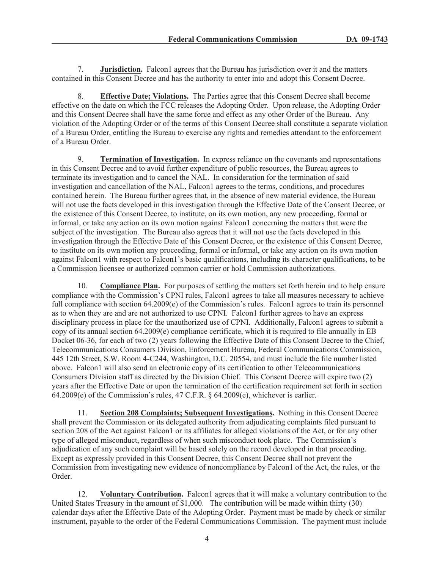7. **Jurisdiction.** Falcon1 agrees that the Bureau has jurisdiction over it and the matters contained in this Consent Decree and has the authority to enter into and adopt this Consent Decree.

8. **Effective Date; Violations.** The Parties agree that this Consent Decree shall become effective on the date on which the FCC releases the Adopting Order. Upon release, the Adopting Order and this Consent Decree shall have the same force and effect as any other Order of the Bureau. Any violation of the Adopting Order or of the terms of this Consent Decree shall constitute a separate violation of a Bureau Order, entitling the Bureau to exercise any rights and remedies attendant to the enforcement of a Bureau Order.

9. **Termination of Investigation.** In express reliance on the covenants and representations in this Consent Decree and to avoid further expenditure of public resources, the Bureau agrees to terminate its investigation and to cancel the NAL. In consideration for the termination of said investigation and cancellation of the NAL, Falcon1 agrees to the terms, conditions, and procedures contained herein. The Bureau further agrees that, in the absence of new material evidence, the Bureau will not use the facts developed in this investigation through the Effective Date of the Consent Decree, or the existence of this Consent Decree, to institute, on its own motion, any new proceeding, formal or informal, or take any action on its own motion against Falcon1 concerning the matters that were the subject of the investigation. The Bureau also agrees that it will not use the facts developed in this investigation through the Effective Date of this Consent Decree, or the existence of this Consent Decree, to institute on its own motion any proceeding, formal or informal, or take any action on its own motion against Falcon1 with respect to Falcon1's basic qualifications, including its character qualifications, to be a Commission licensee or authorized common carrier or hold Commission authorizations.

10. **Compliance Plan.** For purposes of settling the matters set forth herein and to help ensure compliance with the Commission's CPNI rules, Falcon1 agrees to take all measures necessary to achieve full compliance with section 64.2009(e) of the Commission's rules. Falcon1 agrees to train its personnel as to when they are and are not authorized to use CPNI. Falcon1 further agrees to have an express disciplinary process in place for the unauthorized use of CPNI. Additionally, Falcon1 agrees to submit a copy of its annual section 64.2009(e) compliance certificate, which it is required to file annually in EB Docket 06-36, for each of two (2) years following the Effective Date of this Consent Decree to the Chief, Telecommunications Consumers Division, Enforcement Bureau, Federal Communications Commission, 445 12th Street, S.W. Room 4-C244, Washington, D.C. 20554, and must include the file number listed above. Falcon1 will also send an electronic copy of its certification to other Telecommunications Consumers Division staff as directed by the Division Chief. This Consent Decree will expire two (2) years after the Effective Date or upon the termination of the certification requirement set forth in section 64.2009(e) of the Commission's rules, 47 C.F.R. § 64.2009(e), whichever is earlier.

11. **Section 208 Complaints; Subsequent Investigations.** Nothing in this Consent Decree shall prevent the Commission or its delegated authority from adjudicating complaints filed pursuant to section 208 of the Act against Falcon1 or its affiliates for alleged violations of the Act, or for any other type of alleged misconduct, regardless of when such misconduct took place. The Commission's adjudication of any such complaint will be based solely on the record developed in that proceeding. Except as expressly provided in this Consent Decree, this Consent Decree shall not prevent the Commission from investigating new evidence of noncompliance by Falcon1 of the Act, the rules, or the Order.

12. **Voluntary Contribution.** Falcon1 agrees that it will make a voluntary contribution to the United States Treasury in the amount of \$1,000. The contribution will be made within thirty (30) calendar days after the Effective Date of the Adopting Order. Payment must be made by check or similar instrument, payable to the order of the Federal Communications Commission. The payment must include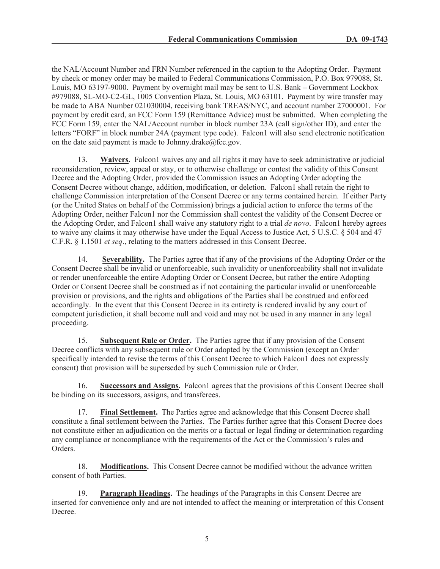the NAL/Account Number and FRN Number referenced in the caption to the Adopting Order. Payment by check or money order may be mailed to Federal Communications Commission, P.O. Box 979088, St. Louis, MO 63197-9000. Payment by overnight mail may be sent to U.S. Bank – Government Lockbox #979088, SL-MO-C2-GL, 1005 Convention Plaza, St. Louis, MO 63101. Payment by wire transfer may be made to ABA Number 021030004, receiving bank TREAS/NYC, and account number 27000001. For payment by credit card, an FCC Form 159 (Remittance Advice) must be submitted. When completing the FCC Form 159, enter the NAL/Account number in block number 23A (call sign/other ID), and enter the letters "FORF" in block number 24A (payment type code). Falcon1 will also send electronic notification on the date said payment is made to Johnny.drake $@$ fcc.gov.

13. **Waivers.** Falcon1 waives any and all rights it may have to seek administrative or judicial reconsideration, review, appeal or stay, or to otherwise challenge or contest the validity of this Consent Decree and the Adopting Order, provided the Commission issues an Adopting Order adopting the Consent Decree without change, addition, modification, or deletion. Falcon1 shall retain the right to challenge Commission interpretation of the Consent Decree or any terms contained herein. If either Party (or the United States on behalf of the Commission) brings a judicial action to enforce the terms of the Adopting Order, neither Falcon1 nor the Commission shall contest the validity of the Consent Decree or the Adopting Order, and Falcon1 shall waive any statutory right to a trial *de novo*. Falcon1 hereby agrees to waive any claims it may otherwise have under the Equal Access to Justice Act, 5 U.S.C. § 504 and 47 C.F.R. § 1.1501 *et seq*., relating to the matters addressed in this Consent Decree.

14. **Severability.** The Parties agree that if any of the provisions of the Adopting Order or the Consent Decree shall be invalid or unenforceable, such invalidity or unenforceability shall not invalidate or render unenforceable the entire Adopting Order or Consent Decree, but rather the entire Adopting Order or Consent Decree shall be construed as if not containing the particular invalid or unenforceable provision or provisions, and the rights and obligations of the Parties shall be construed and enforced accordingly. In the event that this Consent Decree in its entirety is rendered invalid by any court of competent jurisdiction, it shall become null and void and may not be used in any manner in any legal proceeding.

15. **Subsequent Rule or Order.** The Parties agree that if any provision of the Consent Decree conflicts with any subsequent rule or Order adopted by the Commission (except an Order specifically intended to revise the terms of this Consent Decree to which Falcon1 does not expressly consent) that provision will be superseded by such Commission rule or Order.

16. **Successors and Assigns.** Falcon1 agrees that the provisions of this Consent Decree shall be binding on its successors, assigns, and transferees.

17. **Final Settlement.** The Parties agree and acknowledge that this Consent Decree shall constitute a final settlement between the Parties. The Parties further agree that this Consent Decree does not constitute either an adjudication on the merits or a factual or legal finding or determination regarding any compliance or noncompliance with the requirements of the Act or the Commission's rules and Orders.

18. **Modifications.** This Consent Decree cannot be modified without the advance written consent of both Parties.

19. **Paragraph Headings.** The headings of the Paragraphs in this Consent Decree are inserted for convenience only and are not intended to affect the meaning or interpretation of this Consent Decree.